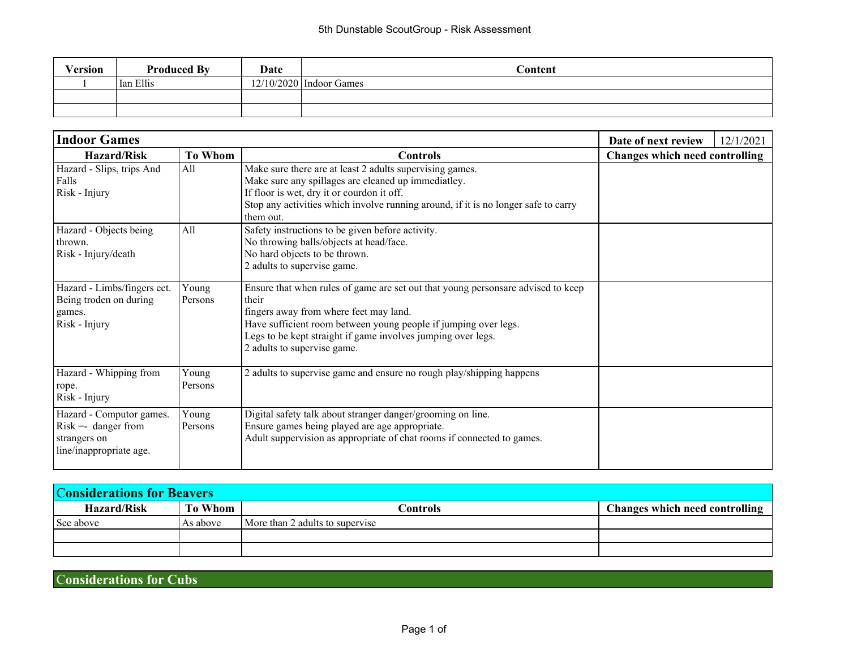| Version | <b>Produced By</b> | <b>Date</b> | Content                   |
|---------|--------------------|-------------|---------------------------|
|         | Ian Ellis          |             | $12/10/2020$ Indoor Games |
|         |                    |             |                           |
|         |                    |             |                           |

| <b>Indoor Games</b>                                                                                             | Date of next review | 12/1/2021                                                                                                                                                                                                                                                                                                                                                                                        |                                       |  |
|-----------------------------------------------------------------------------------------------------------------|---------------------|--------------------------------------------------------------------------------------------------------------------------------------------------------------------------------------------------------------------------------------------------------------------------------------------------------------------------------------------------------------------------------------------------|---------------------------------------|--|
| <b>Hazard/Risk</b>                                                                                              | <b>To Whom</b>      | <b>Controls</b>                                                                                                                                                                                                                                                                                                                                                                                  | <b>Changes which need controlling</b> |  |
| Hazard - Slips, trips And<br>Falls<br>Risk - Injury<br>Hazard - Objects being<br>thrown.<br>Risk - Injury/death | A11<br>All          | Make sure there are at least 2 adults supervising games.<br>Make sure any spillages are cleaned up immediatley.<br>If floor is wet, dry it or courdon it off.<br>Stop any activities which involve running around, if it is no longer safe to carry<br>them out.<br>Safety instructions to be given before activity.<br>No throwing balls/objects at head/face.<br>No hard objects to be thrown. |                                       |  |
| Hazard - Limbs/fingers ect.<br>Being troden on during<br>games.<br>Risk - Injury                                | Young<br>Persons    | 2 adults to supervise game.<br>Ensure that when rules of game are set out that young personsare advised to keep<br>their<br>fingers away from where feet may land.<br>Have sufficient room between young people if jumping over legs.<br>Legs to be kept straight if game involves jumping over legs.<br>2 adults to supervise game.                                                             |                                       |  |
| Hazard - Whipping from<br>rope.<br>Risk - Injury                                                                | Young<br>Persons    | 2 adults to supervise game and ensure no rough play/shipping happens                                                                                                                                                                                                                                                                                                                             |                                       |  |
| Hazard - Computor games.<br>$Risk =$ danger from<br>strangers on<br>line/inappropriate age.                     | Young<br>Persons    | Digital safety talk about stranger danger/grooming on line.<br>Ensure games being played are age appropriate.<br>Adult suppervision as appropriate of chat rooms if connected to games.                                                                                                                                                                                                          |                                       |  |

| <b>Considerations for Beavers</b> |            |                                 |                                |  |
|-----------------------------------|------------|---------------------------------|--------------------------------|--|
| <b>Hazard/Risk</b>                | To Whom    | Controls                        | Changes which need controlling |  |
| See above                         | l As above | More than 2 adults to supervise |                                |  |
|                                   |            |                                 |                                |  |
|                                   |            |                                 |                                |  |

C**onsiderations for Cubs**